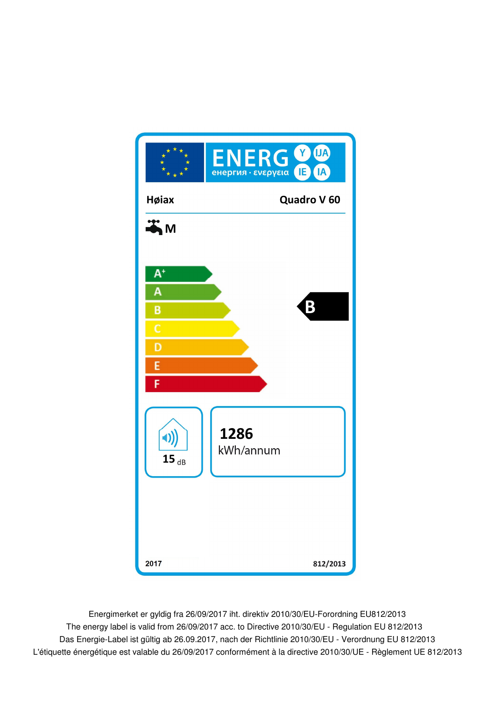

Energimerket er gyldig fra 26/09/2017 iht. direktiv 2010/30/EU-Forordning EU812/2013 Das Energie-Label ist gültig ab 26.09.2017, nach der Richtlinie 2010/30/EU - Verordnung EU 812/2013 The energy label is valid from 26/09/2017 acc. to Directive 2010/30/EU - Regulation EU 812/2013 L'étiquette énergétique est valable du 26/09/2017 conformément à la directive 2010/30/UE - Règlement UE 812/2013